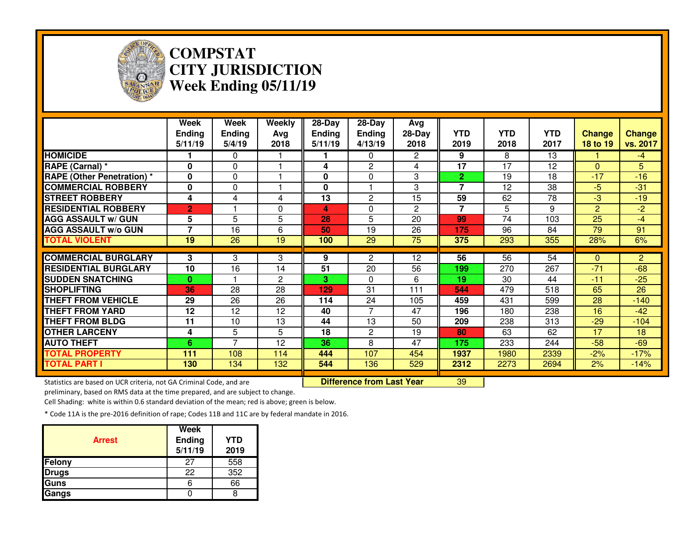

## **COMPSTAT CITY JURISDICTIONWeek Ending 05/11/19**

|                                   | Week<br><b>Ending</b><br>5/11/19 | <b>Week</b><br><b>Ending</b><br>5/4/19 | Weekly<br>Avg<br>2018 | 28-Day<br>Ending<br>5/11/19 | $28-Day$<br><b>Ending</b><br>4/13/19 | Avg<br>28-Day<br>2018 | <b>YTD</b><br>2019       | <b>YTD</b><br>2018 | <b>YTD</b><br>2017 | <b>Change</b><br>18 to 19 | <b>Change</b><br>vs. 2017 |
|-----------------------------------|----------------------------------|----------------------------------------|-----------------------|-----------------------------|--------------------------------------|-----------------------|--------------------------|--------------------|--------------------|---------------------------|---------------------------|
| <b>HOMICIDE</b>                   |                                  | $\Omega$                               |                       |                             | 0                                    | $\overline{2}$        | 9                        | 8                  | 13                 |                           | $-4$                      |
| RAPE (Carnal) *                   | $\bf{0}$                         | $\Omega$                               |                       | 4                           | $\overline{c}$                       | 4                     | 17                       | 17                 | 12                 | $\Omega$                  | 5                         |
| <b>RAPE (Other Penetration) *</b> | $\bf{0}$                         | $\Omega$                               |                       | 0                           | 0                                    | 3                     | $\overline{2}$           | 19                 | 18                 | $-17$                     | $-16$                     |
| <b>COMMERCIAL ROBBERY</b>         | $\mathbf 0$                      | $\Omega$                               |                       | 0                           |                                      | 3                     | 7                        | 12                 | 38                 | $-5$                      | $-31$                     |
| <b>STREET ROBBERY</b>             | 4                                | 4                                      | 4                     | 13                          | $\mathbf{2}$                         | 15                    | 59                       | 62                 | 78                 | -3                        | $-19$                     |
| <b>RESIDENTIAL ROBBERY</b>        | $\overline{2}$                   |                                        | 0                     | 4                           | 0                                    | $\overline{2}$        | $\overline{\phantom{a}}$ | 5                  | 9                  | $\overline{2}$            | $-2$                      |
| <b>AGG ASSAULT w/ GUN</b>         | 5                                | 5                                      | 5                     | 28                          | 5                                    | 20                    | 99                       | 74                 | 103                | 25                        | $-4$                      |
| <b>AGG ASSAULT w/o GUN</b>        | 7                                | 16                                     | 6                     | 50                          | 19                                   | 26                    | 175                      | 96                 | 84                 | 79                        | 91                        |
| <b>TOTAL VIOLENT</b>              | 19                               | 26                                     | 19                    | 100                         | 29                                   | 75                    | 375                      | 293                | 355                | 28%                       | 6%                        |
|                                   |                                  |                                        |                       |                             |                                      |                       |                          |                    |                    |                           |                           |
| <b>COMMERCIAL BURGLARY</b>        | 3                                | 3                                      | 3                     | 9                           | 2                                    | 12                    | 56                       | 56                 | 54                 | $\Omega$                  | $\overline{2}$            |
| <b>RESIDENTIAL BURGLARY</b>       | 10                               | 16                                     | 14                    | 51                          | 20                                   | 56                    | 199                      | 270                | 267                | $-71$                     | $-68$                     |
| <b>SUDDEN SNATCHING</b>           | $\bf{0}$                         |                                        | $\overline{2}$        | 3.                          | 0                                    | 6                     | 19                       | 30                 | 44                 | $-11$                     | $-25$                     |
| <b>SHOPLIFTING</b>                | 36                               | 28                                     | 28                    | 129                         | 31                                   | 111                   | 544                      | 479                | 518                | 65                        | 26                        |
| <b>THEFT FROM VEHICLE</b>         | 29                               | 26                                     | 26                    | 114                         | 24                                   | 105                   | 459                      | 431                | 599                | 28                        | $-140$                    |
| <b>THEFT FROM YARD</b>            | 12                               | 12                                     | 12                    | 40                          | 7                                    | 47                    | 196                      | 180                | 238                | 16                        | $-42$                     |
| <b>THEFT FROM BLDG</b>            | 11                               | 10                                     | 13                    | 44                          | 13                                   | 50                    | 209                      | 238                | 313                | $-29$                     | $-104$                    |
| <b>OTHER LARCENY</b>              | 4                                | 5                                      | 5                     | 18                          | $\overline{c}$                       | 19                    | 80                       | 63                 | 62                 | 17                        | 18                        |
| <b>AUTO THEFT</b>                 | 6                                | $\overline{ }$                         | 12                    | 36                          | 8                                    | 47                    | 175                      | 233                | 244                | $-58$                     | $-69$                     |
| <b>TOTAL PROPERTY</b>             | 111                              | 108                                    | 114                   | 444                         | 107                                  | 454                   | 1937                     | 1980               | 2339               | $-2%$                     | $-17%$                    |
| TOTAL PART I                      | 130                              | 134                                    | 132                   | 544                         | 136                                  | 529                   | 2312                     | 2273               | 2694               | 2%                        | $-14%$                    |

Statistics are based on UCR criteria, not GA Criminal Code, and are **Difference from Last Year** 

preliminary, based on RMS data at the time prepared, and are subject to change.

<sup>39</sup>

Cell Shading: white is within 0.6 standard deviation of the mean; red is above; green is below.

| <b>Arrest</b> | Week<br><b>Ending</b><br>5/11/19 | <b>YTD</b><br>2019 |
|---------------|----------------------------------|--------------------|
| <b>Felony</b> | 27                               | 558                |
| <b>Drugs</b>  | 22                               | 352                |
| Guns          |                                  | 66                 |
| Gangs         |                                  |                    |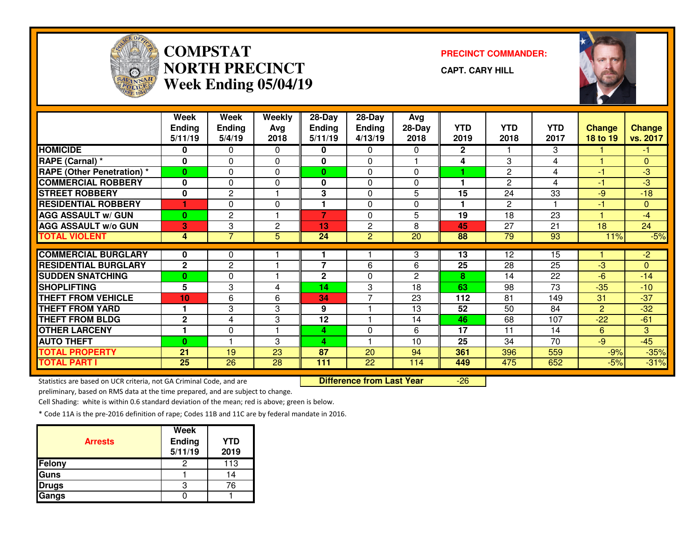

## **COMPSTATNORTH PRECINCTWeek Ending 05/04/19**

**PRECINCT COMMANDER:**

**CAPT. CARY HILL**

-26



|                                  | Week            | Week            | Weekly         | 28-Day                  | 28-Day         | Avg            |              |                       |            |                |                |
|----------------------------------|-----------------|-----------------|----------------|-------------------------|----------------|----------------|--------------|-----------------------|------------|----------------|----------------|
|                                  | <b>Ending</b>   | <b>Ending</b>   | Avg            | <b>Ending</b>           | <b>Ending</b>  | 28-Day         | <b>YTD</b>   | <b>YTD</b>            | <b>YTD</b> | <b>Change</b>  | <b>Change</b>  |
|                                  | 5/11/19         | 5/4/19          | 2018           | 5/11/19                 | 4/13/19        | 2018           | 2019         | 2018                  | 2017       | 18 to 19       | vs. 2017       |
| <b>HOMICIDE</b>                  | 0               | 0               | 0              | 0                       | $\mathbf{0}$   | 0              | $\mathbf{2}$ |                       | 3          |                | $-1$           |
| RAPE (Carnal) *                  | $\bf{0}$        | 0               | 0              | 0                       | $\Omega$       |                | 4            | 3                     | 4          | н              | $\overline{0}$ |
| <b>RAPE (Other Penetration)*</b> | $\bf{0}$        | 0               | 0              | 0                       | 0              | $\Omega$       |              | $\mathbf{2}$          | 4          | -1             | $-3$           |
| <b>COMMERCIAL ROBBERY</b>        | 0               | 0               | 0              | 0                       | $\Omega$       | $\Omega$       |              | $\mathbf{2}^{\prime}$ | 4          | -1             | $-3$           |
| <b>STREET ROBBERY</b>            | 0               | 2               |                | 3                       | $\Omega$       | 5              | 15           | 24                    | 33         | $-9$           | $-18$          |
| <b>RESIDENTIAL ROBBERY</b>       | 1               | 0               | $\mathbf{0}$   | $\overline{\mathbf{1}}$ | $\Omega$       | $\Omega$       | 1            | $\mathbf{2}^{\prime}$ | 1          | $-1$           | $\mathbf{0}$   |
| <b>AGG ASSAULT w/ GUN</b>        | $\bf{0}$        | 2               |                | 7                       | 0              | 5              | 19           | 18                    | 23         |                | $-4$           |
| <b>AGG ASSAULT w/o GUN</b>       | 3               | 3               | $\overline{c}$ | 13                      | $\overline{2}$ | 8              | 45           | 27                    | 21         | 18             | 24             |
| <b>TOTAL VIOLENT</b>             | 4               | $\overline{7}$  | 5              | 24                      | $\overline{2}$ | 20             | 88           | 79                    | 93         | 11%            | $-5%$          |
|                                  |                 |                 |                |                         |                |                |              |                       |            |                |                |
| <b>COMMERCIAL BURGLARY</b>       | 0               | 0               |                |                         |                | 3              | 13           | 12                    | 15         |                | $-2$           |
| <b>RESIDENTIAL BURGLARY</b>      | $\mathbf{2}$    | $\overline{c}$  |                | 7                       | 6              | 6              | 25           | 28                    | 25         | $-3$           | $\overline{0}$ |
| <b>SUDDEN SNATCHING</b>          | $\bf{0}$        | 0               |                | $\mathbf{2}$            | 0              | $\overline{2}$ | 8            | 14                    | 22         | $-6$           | $-14$          |
| <b>SHOPLIFTING</b>               | 5               | 3               | 4              | 14                      | 3              | 18             | 63           | 98                    | 73         | $-35$          | $-10$          |
| <b>THEFT FROM VEHICLE</b>        | 10              | 6               | 6              | 34                      | 7              | 23             | 112          | 81                    | 149        | 31             | $-37$          |
| <b>THEFT FROM YARD</b>           |                 | 3               | 3              | 9                       |                | 13             | 52           | 50                    | 84         | $\overline{2}$ | $-32$          |
| <b>THEFT FROM BLDG</b>           | $\mathbf{2}$    | 4               | 3              | 12                      |                | 14             | 46           | 68                    | 107        | $-22$          | $-61$          |
| <b>OTHER LARCENY</b>             |                 | 0               |                | 4                       | 0              | 6              | 17           | 11                    | 14         | 6              | 3 <sup>1</sup> |
| <b>AUTO THEFT</b>                | $\bf{0}$        |                 | 3              | 4                       |                | 10             | 25           | 34                    | 70         | $-9$           | $-45$          |
| <b>TOTAL PROPERTY</b>            | 21              | 19              | 23             | 87                      | 20             | 94             | 361          | 396                   | 559        | $-9%$          | $-35%$         |
| <b>TOTAL PART I</b>              | $\overline{25}$ | $\overline{26}$ | 28             | 111                     | 22             | 114            | 449          | 475                   | 652        | $-5%$          | $-31%$         |

Statistics are based on UCR criteria, not GA Criminal Code, and are **Difference from Last Year** 

preliminary, based on RMS data at the time prepared, and are subject to change.

Cell Shading: white is within 0.6 standard deviation of the mean; red is above; green is below.

| <b>Arrests</b> | <b>Week</b><br><b>Ending</b><br>5/11/19 | <b>YTD</b><br>2019 |
|----------------|-----------------------------------------|--------------------|
| Felony         | 2                                       | 113                |
| <b>Guns</b>    |                                         | 14                 |
| <b>Drugs</b>   | я                                       | 76                 |
| Gangs          |                                         |                    |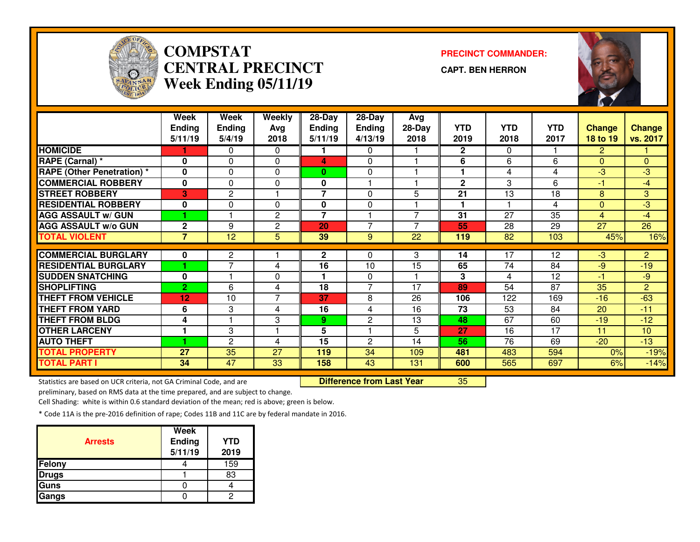

# **COMPSTAT PRECINCT COMMANDER: CENTRAL PRECINCTWeek Ending 05/11/19**

**CAPT. BEN HERRON**

<sup>35</sup>



|                                   | Week            | <b>Week</b>    | Weekly       | 28-Day         | 28-Day         | Avg                      |                      |            |            |                |                |
|-----------------------------------|-----------------|----------------|--------------|----------------|----------------|--------------------------|----------------------|------------|------------|----------------|----------------|
|                                   | <b>Ending</b>   | <b>Ending</b>  | Avg          | <b>Ending</b>  | <b>Ending</b>  | 28-Day                   | <b>YTD</b>           | <b>YTD</b> | <b>YTD</b> | <b>Change</b>  | <b>Change</b>  |
|                                   | 5/11/19         | 5/4/19         | 2018         | 5/11/19        | 4/13/19        | 2018                     | 2019                 | 2018       | 2017       | 18 to 19       | vs. 2017       |
| <b>HOMICIDE</b>                   |                 | 0              | $\Omega$     |                | $\mathbf{0}$   |                          | $\mathbf{2}$         | $\Omega$   |            | $\mathbf{2}$   |                |
| RAPE (Carnal) *                   | $\mathbf{0}$    | 0              | 0            | 4              | 0              |                          | 6                    | 6          | 6          | $\Omega$       | $\overline{0}$ |
| <b>RAPE (Other Penetration) *</b> | $\mathbf{0}$    | 0              | 0            | $\mathbf{0}$   | 0              |                          |                      | 4          | 4          | $-3$           | $-3$           |
| <b>COMMERCIAL ROBBERY</b>         | 0               | 0              | $\mathbf{0}$ | 0              |                |                          | $\mathbf{2}$         | 3          | 6          | -1             | $-4$           |
| <b>STREET ROBBERY</b>             | 3               | $\overline{2}$ |              | 7              | $\Omega$       | 5                        | 21                   | 13         | 18         | 8              | 3              |
| <b>RESIDENTIAL ROBBERY</b>        | 0               | 0              | $\mathbf{0}$ | 0              | $\Omega$       |                          | $\blacktriangleleft$ |            | 4          | $\mathbf{0}$   | $-3$           |
| <b>AGG ASSAULT w/ GUN</b>         |                 |                | 2            | $\overline{7}$ |                | $\overline{ }$           | 31                   | 27         | 35         | $\overline{4}$ | $-4$           |
| <b>AGG ASSAULT w/o GUN</b>        | $\mathbf 2$     | 9              | $\mathbf{2}$ | 20             | $\overline{7}$ | $\overline{\phantom{a}}$ | 55                   | 28         | 29         | 27             | 26             |
| <b>TOTAL VIOLENT</b>              | $\overline{7}$  | 12             | 5            | 39             | 9              | 22                       | 119                  | 82         | 103        | 45%            | 16%            |
|                                   |                 |                |              |                |                |                          |                      |            |            |                |                |
| <b>COMMERCIAL BURGLARY</b>        | $\bf{0}$        | 2              |              | $\mathbf{2}$   | 0              | 3                        | 14                   | 17         | 12         | $-3$           | $\mathbf{2}$   |
| <b>RESIDENTIAL BURGLARY</b>       |                 | $\overline{ }$ | 4            | 16             | 10             | 15                       | 65                   | 74         | 84         | $-9$           | $-19$          |
| <b>SUDDEN SNATCHING</b>           | 0               |                | 0            |                | 0              |                          | 3                    | 4          | 12         | $-1$           | $-9$           |
| <b>SHOPLIFTING</b>                | $\overline{2}$  | 6              | 4            | 18             | 7              | 17                       | 89                   | 54         | 87         | 35             | $\overline{2}$ |
| <b>THEFT FROM VEHICLE</b>         | 12 <sub>2</sub> | 10             | 7            | 37             | 8              | 26                       | 106                  | 122        | 169        | $-16$          | $-63$          |
| <b>THEFT FROM YARD</b>            | 6               | 3              | 4            | 16             | 4              | 16                       | 73                   | 53         | 84         | 20             | $-11$          |
| <b>THEFT FROM BLDG</b>            | 4               |                | 3            | 9.             | $\mathbf{2}$   | 13                       | 48                   | 67         | 60         | $-19$          | $-12$          |
| <b>OTHER LARCENY</b>              |                 | 3              |              | 5              |                | 5                        | 27                   | 16         | 17         | 11             | 10             |
| <b>AUTO THEFT</b>                 |                 | $\mathbf{2}$   | 4            | 15             | 2              | 14                       | 56                   | 76         | 69         | $-20$          | $-13$          |
| <b>TOTAL PROPERTY</b>             | 27              | 35             | 27           | 119            | 34             | 109                      | 481                  | 483        | 594        | 0%             | $-19%$         |
| <b>TOTAL PART I</b>               | 34              | 47             | 33           | 158            | 43             | 131                      | 600                  | 565        | 697        | 6%             | $-14%$         |

Statistics are based on UCR criteria, not GA Criminal Code, and are **Difference from Last Year** 

preliminary, based on RMS data at the time prepared, and are subject to change.

Cell Shading: white is within 0.6 standard deviation of the mean; red is above; green is below.

| <b>Arrests</b> | <b>Week</b><br>Ending<br>5/11/19 | <b>YTD</b><br>2019 |
|----------------|----------------------------------|--------------------|
| Felony         |                                  | 159                |
| <b>Drugs</b>   |                                  | 83                 |
| Guns           |                                  |                    |
| Gangs          |                                  |                    |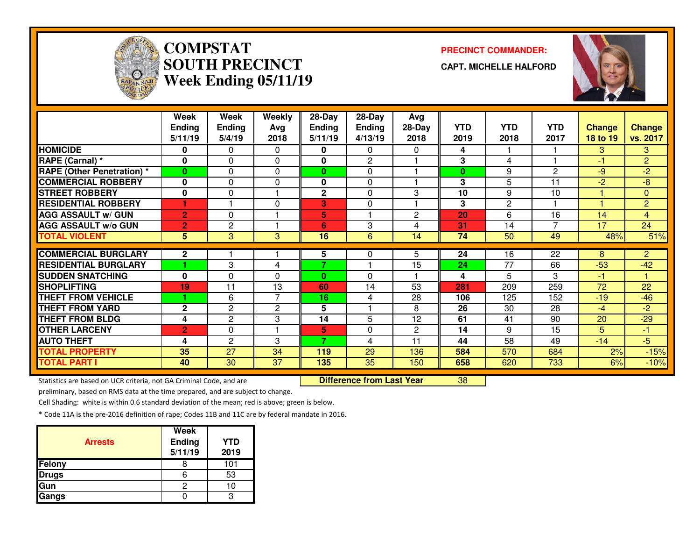

# **COMPSTATSOUTH PRECINCTWeek Ending 05/11/19**

**PRECINCT COMMANDER:**

**CAPT. MICHELLE HALFORD**



|                                   | Week           | Week           | Weekly         | 28-Day        | 28-Day         | Avg            |            |                 |                |               |                |
|-----------------------------------|----------------|----------------|----------------|---------------|----------------|----------------|------------|-----------------|----------------|---------------|----------------|
|                                   | <b>Ending</b>  | <b>Ending</b>  | Avg            | <b>Ending</b> | <b>Ending</b>  | 28-Day         | <b>YTD</b> | <b>YTD</b>      | <b>YTD</b>     | <b>Change</b> | <b>Change</b>  |
|                                   | 5/11/19        | 5/4/19         | 2018           | 5/11/19       | 4/13/19        | 2018           | 2019       | 2018            | 2017           | 18 to 19      | vs. 2017       |
| <b>HOMICIDE</b>                   | 0              | 0              | $\Omega$       | 0             | $\Omega$       | 0              | 4          |                 |                | 3.            | 3              |
| RAPE (Carnal) *                   | 0              | 0              | $\Omega$       | 0             | $\overline{2}$ |                | 3          | 4               |                | -1            | $\overline{2}$ |
| <b>RAPE (Other Penetration)</b> * | $\bf{0}$       | 0              | $\Omega$       | $\bf{0}$      | $\Omega$       |                | $\bf{0}$   | 9               | 2              | $-9$          | $-2$           |
| <b>COMMERCIAL ROBBERY</b>         | $\mathbf{0}$   | 0              | $\mathbf{0}$   | 0             | $\Omega$       |                | 3          | 5               | 11             | $-2$          | $-8$           |
| <b>STREET ROBBERY</b>             | 0              | 0              |                | $\mathbf 2$   | 0              | 3              | 10         | 9               | 10             |               | $\overline{0}$ |
| <b>RESIDENTIAL ROBBERY</b>        |                |                | 0              | 3             | $\Omega$       |                | 3          | 2               |                |               | $\overline{2}$ |
| <b>AGG ASSAULT w/ GUN</b>         | $\overline{2}$ | 0              |                | 5             |                | $\overline{2}$ | 20         | 6               | 16             | 14            | $\overline{4}$ |
| <b>AGG ASSAULT w/o GUN</b>        | 2              | 2              |                | 6             | 3              | 4              | 31         | 14              | $\overline{7}$ | 17            | 24             |
| <b>TOTAL VIOLENT</b>              | 5              | 3              | 3              | 16            | 6              | 14             | 74         | 50              | 49             | 48%           | 51%            |
|                                   |                |                |                |               |                |                |            |                 |                |               |                |
| <b>COMMERCIAL BURGLARY</b>        | $\mathbf{2}$   |                |                | 5             | 0              | 5              | 24         | 16              | 22             | 8             | $\overline{2}$ |
| <b>RESIDENTIAL BURGLARY</b>       |                | 3              | 4              | 7             |                | 15             | 24         | $\overline{77}$ | 66             | $-53$         | $-42$          |
| <b>SUDDEN SNATCHING</b>           | 0              | 0              | 0              | $\bf{0}$      | $\Omega$       |                | 4          | 5               | 3              | -1            |                |
| <b>SHOPLIFTING</b>                | 19             | 11             | 13             | 60            | 14             | 53             | 281        | 209             | 259            | 72            | 22             |
| <b>THEFT FROM VEHICLE</b>         |                | 6              | $\overline{7}$ | 16            | 4              | 28             | 106        | 125             | 152            | $-19$         | $-46$          |
| <b>THEFT FROM YARD</b>            | $\mathbf{2}$   | 2              | 2              | 5             |                | 8              | 26         | 30              | 28             | $-4$          | $-2$           |
| <b>THEFT FROM BLDG</b>            | 4              | $\mathbf{2}$   | 3              | 14            | 5              | 12             | 61         | 41              | 90             | 20            | $-29$          |
| <b>OTHER LARCENY</b>              | $\overline{2}$ | 0              |                | 5             | $\Omega$       | $\overline{2}$ | 14         | 9               | 15             | 5             | $-1$           |
| <b>AUTO THEFT</b>                 | 4              | $\overline{c}$ | 3              | 7             | 4              | 11             | 44         | 58              | 49             | $-14$         | $-5$           |
| <b>TOTAL PROPERTY</b>             | 35             | 27             | 34             | 119           | 29             | 136            | 584        | 570             | 684            | 2%            | $-15%$         |
| <b>TOTAL PART I</b>               | 40             | 30             | 37             | 135           | 35             | 150            | 658        | 620             | 733            | 6%            | $-10%$         |

Statistics are based on UCR criteria, not GA Criminal Code, and are **Difference from Last Year** 

<sup>38</sup>

preliminary, based on RMS data at the time prepared, and are subject to change.

Cell Shading: white is within 0.6 standard deviation of the mean; red is above; green is below.

| <b>Arrests</b> | <b>Week</b><br>Ending<br>5/11/19 | <b>YTD</b><br>2019 |
|----------------|----------------------------------|--------------------|
| Felony         |                                  | 101                |
| <b>Drugs</b>   |                                  | 53                 |
| Gun            |                                  |                    |
| Gangs          |                                  |                    |